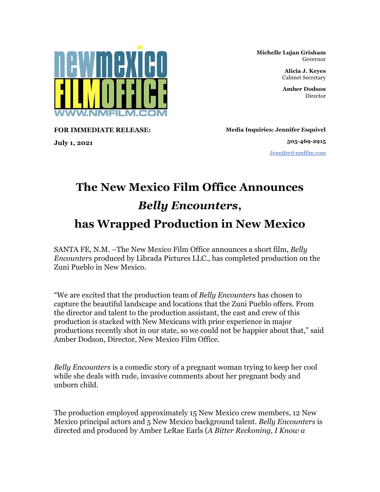

**FOR IMMEDIATE RELEASE:**

**July 1, 2021**

**Michelle Lujan Grisham** Governor

> **Alicia J. Keyes** Cabinet Secretary

> **Amber Dodson** Director

**Media Inquiries: Jennifer Esquivel**

**505-469-2915** [Jennifer@nmfilm.com](mailto:jennifer@nmfilm.com)

## **The New Mexico Film Office Announces**  *Belly Encounters***, has Wrapped Production in New Mexico**

SANTA FE, N.M. –The New Mexico Film Office announces a short film, *Belly Encounters* produced by Librada Pictures LLC., has completed production on the Zuni Pueblo in New Mexico.

"We are excited that the production team of *Belly Encounters* has chosen to capture the beautiful landscape and locations that the Zuni Pueblo offers. From the director and talent to the production assistant, the cast and crew of this production is stacked with New Mexicans with prior experience in major productions recently shot in our state, so we could not be happier about that," said Amber Dodson, Director, New Mexico Film Office.

*Belly Encounters* is a comedic story of a pregnant woman trying to keep her cool while she deals with rude, invasive comments about her pregnant body and unborn child.

The production employed approximately 15 New Mexico crew members, 12 New Mexico principal actors and 5 New Mexico background talent. *Belly Encounters* is directed and produced by Amber LeRae Earls (*A Bitter Reckoning, I Know a*